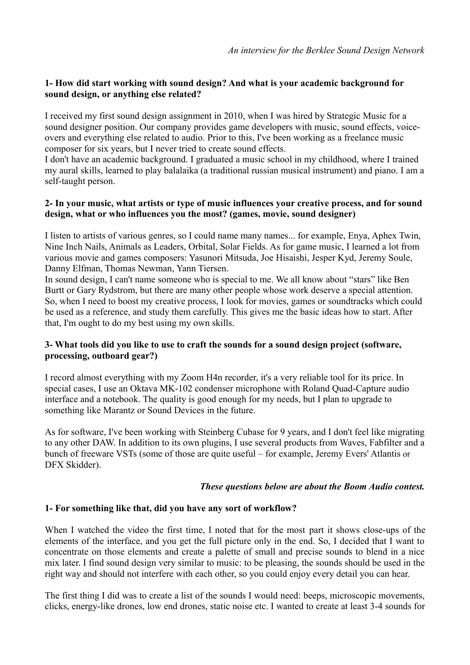# **1- How did start working with sound design? And what is your academic background for sound design, or anything else related?**

I received my first sound design assignment in 2010, when I was hired by Strategic Music for a sound designer position. Our company provides game developers with music, sound effects, voiceovers and everything else related to audio. Prior to this, I've been working as a freelance music composer for six years, but I never tried to create sound effects.

I don't have an academic background. I graduated a music school in my childhood, where I trained my aural skills, learned to play balalaika (a traditional russian musical instrument) and piano. I am a self-taught person.

# **2- In your music, what artists or type of music influences your creative process, and for sound design, what or who influences you the most? (games, movie, sound designer)**

I listen to artists of various genres, so I could name many names... for example, Enya, Aphex Twin, Nine Inch Nails, Animals as Leaders, Orbital, Solar Fields. As for game music, I learned a lot from various movie and games composers: Yasunori Mitsuda, Joe Hisaishi, Jesper Kyd, Jeremy Soule, Danny Elfman, Thomas Newman, Yann Tiersen.

In sound design, I can't name someone who is special to me. We all know about "stars" like Ben Burtt or Gary Rydstrom, but there are many other people whose work deserve a special attention. So, when I need to boost my creative process, I look for movies, games or soundtracks which could be used as a reference, and study them carefully. This gives me the basic ideas how to start. After that, I'm ought to do my best using my own skills.

# **3- What tools did you like to use to craft the sounds for a sound design project (software, processing, outboard gear?)**

I record almost everything with my Zoom H4n recorder, it's a very reliable tool for its price. In special cases, I use an Oktava MK-102 condenser microphone with Roland Quad-Capture audio interface and a notebook. The quality is good enough for my needs, but I plan to upgrade to something like Marantz or Sound Devices in the future.

As for software, I've been working with Steinberg Cubase for 9 years, and I don't feel like migrating to any other DAW. In addition to its own plugins, I use several products from Waves, Fabfilter and a bunch of freeware VSTs (some of those are quite useful – for example, Jeremy Evers' Atlantis or DFX Skidder).

# *These questions below are about the Boom Audio contest.*

# **1- For something like that, did you have any sort of workflow?**

When I watched the video the first time, I noted that for the most part it shows close-ups of the elements of the interface, and you get the full picture only in the end. So, I decided that I want to concentrate on those elements and create a palette of small and precise sounds to blend in a nice mix later. I find sound design very similar to music: to be pleasing, the sounds should be used in the right way and should not interfere with each other, so you could enjoy every detail you can hear.

The first thing I did was to create a list of the sounds I would need: beeps, microscopic movements, clicks, energy-like drones, low end drones, static noise etc. I wanted to create at least 3-4 sounds for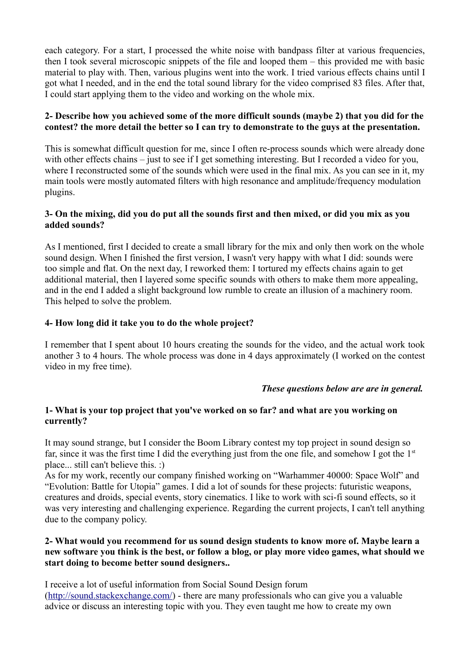each category. For a start, I processed the white noise with bandpass filter at various frequencies, then I took several microscopic snippets of the file and looped them – this provided me with basic material to play with. Then, various plugins went into the work. I tried various effects chains until I got what I needed, and in the end the total sound library for the video comprised 83 files. After that, I could start applying them to the video and working on the whole mix.

## **2- Describe how you achieved some of the more difficult sounds (maybe 2) that you did for the contest? the more detail the better so I can try to demonstrate to the guys at the presentation.**

This is somewhat difficult question for me, since I often re-process sounds which were already done with other effects chains – just to see if I get something interesting. But I recorded a video for you, where I reconstructed some of the sounds which were used in the final mix. As you can see in it, my main tools were mostly automated filters with high resonance and amplitude/frequency modulation plugins.

## **3- On the mixing, did you do put all the sounds first and then mixed, or did you mix as you added sounds?**

As I mentioned, first I decided to create a small library for the mix and only then work on the whole sound design. When I finished the first version, I wasn't very happy with what I did: sounds were too simple and flat. On the next day, I reworked them: I tortured my effects chains again to get additional material, then I layered some specific sounds with others to make them more appealing, and in the end I added a slight background low rumble to create an illusion of a machinery room. This helped to solve the problem.

# **4- How long did it take you to do the whole project?**

I remember that I spent about 10 hours creating the sounds for the video, and the actual work took another 3 to 4 hours. The whole process was done in 4 days approximately (I worked on the contest video in my free time).

#### *These questions below are are in general.*

# **1- What is your top project that you've worked on so far? and what are you working on currently?**

It may sound strange, but I consider the Boom Library contest my top project in sound design so far, since it was the first time I did the everything just from the one file, and somehow I got the  $1<sup>st</sup>$ place... still can't believe this. :)

As for my work, recently our company finished working on "Warhammer 40000: Space Wolf" and "Evolution: Battle for Utopia" games. I did a lot of sounds for these projects: futuristic weapons, creatures and droids, special events, story cinematics. I like to work with sci-fi sound effects, so it was very interesting and challenging experience. Regarding the current projects, I can't tell anything due to the company policy.

## **2- What would you recommend for us sound design students to know more of. Maybe learn a new software you think is the best, or follow a blog, or play more video games, what should we start doing to become better sound designers..**

I receive a lot of useful information from Social Sound Design forum [\(http://sound.stackexchange.com/\)](http://sound.stackexchange.com/) - there are many professionals who can give you a valuable advice or discuss an interesting topic with you. They even taught me how to create my own